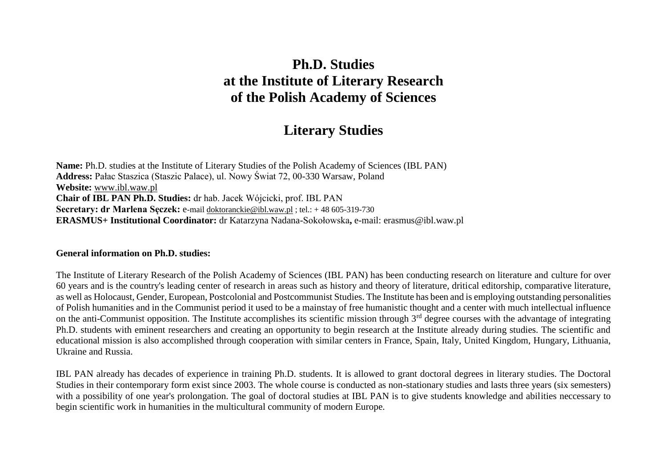# **Ph.D. Studies at the Institute of Literary Research of the Polish Academy of Sciences**

# **Literary Studies**

**Name:** Ph.D. studies at the Institute of Literary Studies of the Polish Academy of Sciences (IBL PAN) **Address:** Pałac Staszica (Staszic Palace), ul. Nowy Świat 72, 00-330 Warsaw, Poland **Website:** [www.ibl.waw.pl](http://www.ibl.waw.pl/) **Chair of IBL PAN Ph.D. Studies:** dr hab. Jacek Wójcicki, prof. IBL PAN **Secretary: dr Marlena Sęczek:** e-mail [doktoranckie@ibl.waw.pl](mailto:doktoranckie@ibl.waw.pl) ; tel.: + 48 605-319-730 **ERASMUS+ Institutional Coordinator:** dr Katarzyna Nadana-Sokołowska**,** e-mail: erasmus@ibl.waw.pl

#### **General information on Ph.D. studies:**

The Institute of Literary Research of the Polish Academy of Sciences (IBL PAN) has been conducting research on literature and culture for over 60 years and is the country's leading center of research in areas such as history and theory of literature, dritical editorship, comparative literature, as well as Holocaust, Gender, European, Postcolonial and Postcommunist Studies. The Institute has been and is employing outstanding personalities of Polish humanities and in the Communist period it used to be a mainstay of free humanistic thought and a center with much intellectual influence on the anti-Communist opposition. The Institute accomplishes its scientific mission through  $3<sup>rd</sup>$  degree courses with the advantage of integrating Ph.D. students with eminent researchers and creating an opportunity to begin research at the Institute already during studies. The scientific and educational mission is also accomplished through cooperation with similar centers in France, Spain, Italy, United Kingdom, Hungary, Lithuania, Ukraine and Russia.

IBL PAN already has decades of experience in training Ph.D. students. It is allowed to grant doctoral degrees in literary studies. The Doctoral Studies in their contemporary form exist since 2003. The whole course is conducted as non-stationary studies and lasts three years (six semesters) with a possibility of one year's prolongation. The goal of doctoral studies at IBL PAN is to give students knowledge and abilities neccessary to begin scientific work in humanities in the multicultural community of modern Europe.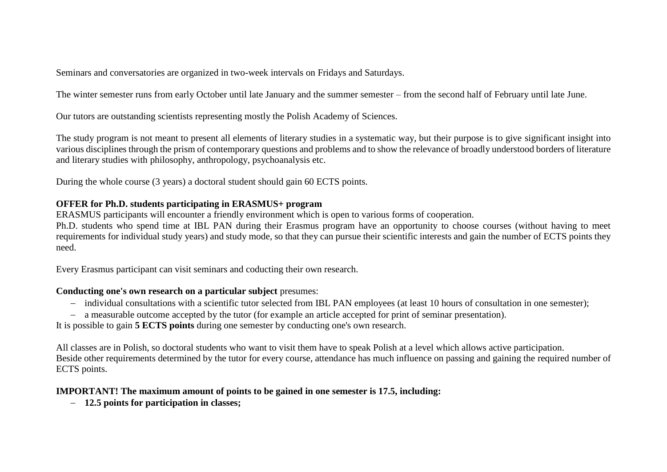Seminars and conversatories are organized in two-week intervals on Fridays and Saturdays.

The winter semester runs from early October until late January and the summer semester – from the second half of February until late June.

Our tutors are outstanding scientists representing mostly the Polish Academy of Sciences.

The study program is not meant to present all elements of literary studies in a systematic way, but their purpose is to give significant insight into various disciplines through the prism of contemporary questions and problems and to show the relevance of broadly understood borders of literature and literary studies with philosophy, anthropology, psychoanalysis etc.

During the whole course (3 years) a doctoral student should gain 60 ECTS points.

### **OFFER for Ph.D. students participating in ERASMUS+ program**

ERASMUS participants will encounter a friendly environment which is open to various forms of cooperation.

Ph.D. students who spend time at IBL PAN during their Erasmus program have an opportunity to choose courses (without having to meet requirements for individual study years) and study mode, so that they can pursue their scientific interests and gain the number of ECTS points they need.

Every Erasmus participant can visit seminars and coducting their own research.

#### **Conducting one's own research on a particular subject** presumes:

- individual consultations with a scientific tutor selected from IBL PAN employees (at least 10 hours of consultation in one semester);
- a measurable outcome accepted by the tutor (for example an article accepted for print of seminar presentation).

It is possible to gain **5 ECTS points** during one semester by conducting one's own research.

All classes are in Polish, so doctoral students who want to visit them have to speak Polish at a level which allows active participation. Beside other requirements determined by the tutor for every course, attendance has much influence on passing and gaining the required number of ECTS points.

#### **IMPORTANT! The maximum amount of points to be gained in one semester is 17.5, including:**

**12.5 points for participation in classes;**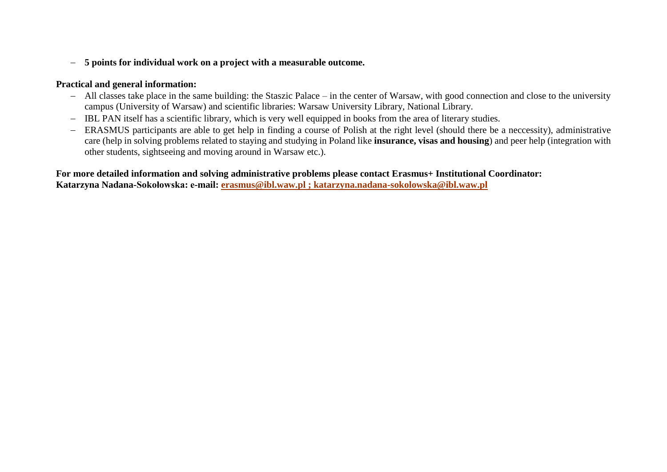#### **5 points for individual work on a project with a measurable outcome.**

#### **Practical and general information:**

- All classes take place in the same building: the Staszic Palace in the center of Warsaw, with good connection and close to the university campus (University of Warsaw) and scientific libraries: Warsaw University Library, National Library.
- IBL PAN itself has a scientific library, which is very well equipped in books from the area of literary studies.
- ERASMUS participants are able to get help in finding a course of Polish at the right level (should there be a neccessity), administrative care (help in solving problems related to staying and studying in Poland like **insurance, visas and housing**) and peer help (integration with other students, sightseeing and moving around in Warsaw etc.).

# **For more detailed information and solving administrative problems please contact Erasmus+ Institutional Coordinator:**

**Katarzyna Nadana-Sokołowska: e-mail: [erasmus@ibl.waw.pl ; katarzyna.nadana-sokolowska@ibl.waw.pl](mailto:erasmus@ibl.waw.pl%20;%20katarzyna.nadana-sokolowska@ibl.waw.pl)**